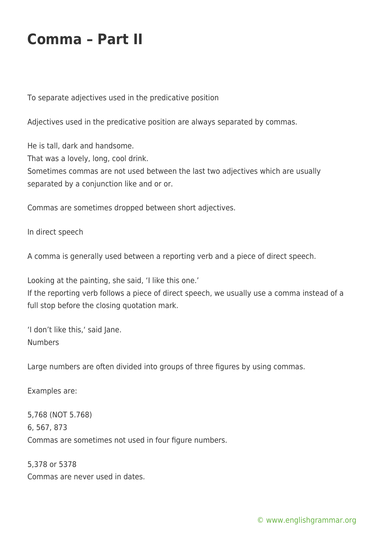## **Comma – Part II**

To separate adjectives used in the predicative position

Adjectives used in the predicative position are always separated by commas.

He is tall, dark and handsome. That was a lovely, long, cool drink. Sometimes commas are not used between the last two adjectives which are usually separated by a conjunction like and or or.

Commas are sometimes dropped between short adjectives.

In direct speech

A comma is generally used between a reporting verb and a piece of direct speech.

Looking at the painting, she said, 'I like this one.'

If the reporting verb follows a piece of direct speech, we usually use a comma instead of a full stop before the closing quotation mark.

'I don't like this,' said Jane. Numbers

Large numbers are often divided into groups of three figures by using commas.

Examples are:

5,768 (NOT 5.768) 6, 567, 873 Commas are sometimes not used in four figure numbers.

5,378 or 5378 Commas are never used in dates.